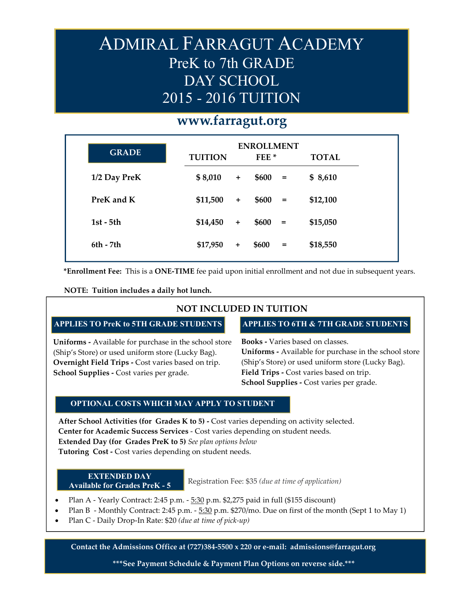# ADMIRAL FARRAGUT ACADEMY PreK to 7th GRADE DAY SCHOOL 2015 - 2016 TUITION

## **www.farragut.org**

| <b>GRADE</b> | <b>TUITION</b> |           | <b>ENROLLMENT</b><br>FEE <sup>*</sup> |                   | <b>TOTAL</b> |
|--------------|----------------|-----------|---------------------------------------|-------------------|--------------|
| 1/2 Day PreK | \$8,010        | $+$       | \$600                                 | $=$               | \$8,610      |
| PreK and K   | \$11,500       | $\ddot{}$ | \$600                                 | $\qquad \qquad =$ | \$12,100     |
| $1st - 5th$  | \$14,450       | $\ddot{}$ | \$600                                 | $=$               | \$15,050     |
| $6th - 7th$  | \$17,950       | $\ddot{}$ | \$600                                 | $=$               | \$18,550     |

**\*Enrollment Fee:** This is a **ONE-TIME** fee paid upon initial enrollment and not due in subsequent years.

**NOTE: Tuition includes a daily hot lunch.** 

#### **NOT INCLUDED IN TUITION**

### **APPLIES TO PreK to 5TH GRADE STUDENTS APPLIES TO 6TH & 7TH GRADE STUDENTS**

**Uniforms -** Available for purchase in the school store (Ship's Store) or used uniform store (Lucky Bag). **Overnight Field Trips -** Cost varies based on trip. **School Supplies -** Cost varies per grade.

**Books -** Varies based on classes. **Uniforms -** Available for purchase in the school store (Ship's Store) or used uniform store (Lucky Bag). **Field Trips -** Cost varies based on trip. **School Supplies -** Cost varies per grade.

#### **OPTIONAL COSTS WHICH MAY APPLY TO STUDENT**

**After School Activities (for Grades K to 5) -** Cost varies depending on activity selected. **Center for Academic Success Services** - Cost varies depending on student needs. **Extended Day (for Grades PreK to 5)** *See plan options below* **Tutoring Cost -** Cost varies depending on student needs.

#### **EXTENDED DAY Available for Grades PreK - 5**

Registration Fee: \$35 *(due at time of application)* 

- Plan A Yearly Contract: 2:45 p.m.  $-5:30$  p.m. \$2,275 paid in full (\$155 discount)
- Plan B Monthly Contract: 2:45 p.m. 5:30 p.m. \$270/mo. Due on first of the month (Sept 1 to May 1)
- Plan C Daily Drop-In Rate: \$20 *(due at time of pick-up)*

**Contact the Admissions Office at (727)384-5500 x 220 or e-mail: admissions@farragut.org**

**\*\*\*See Payment Schedule & Payment Plan Options on reverse side.\*\*\***